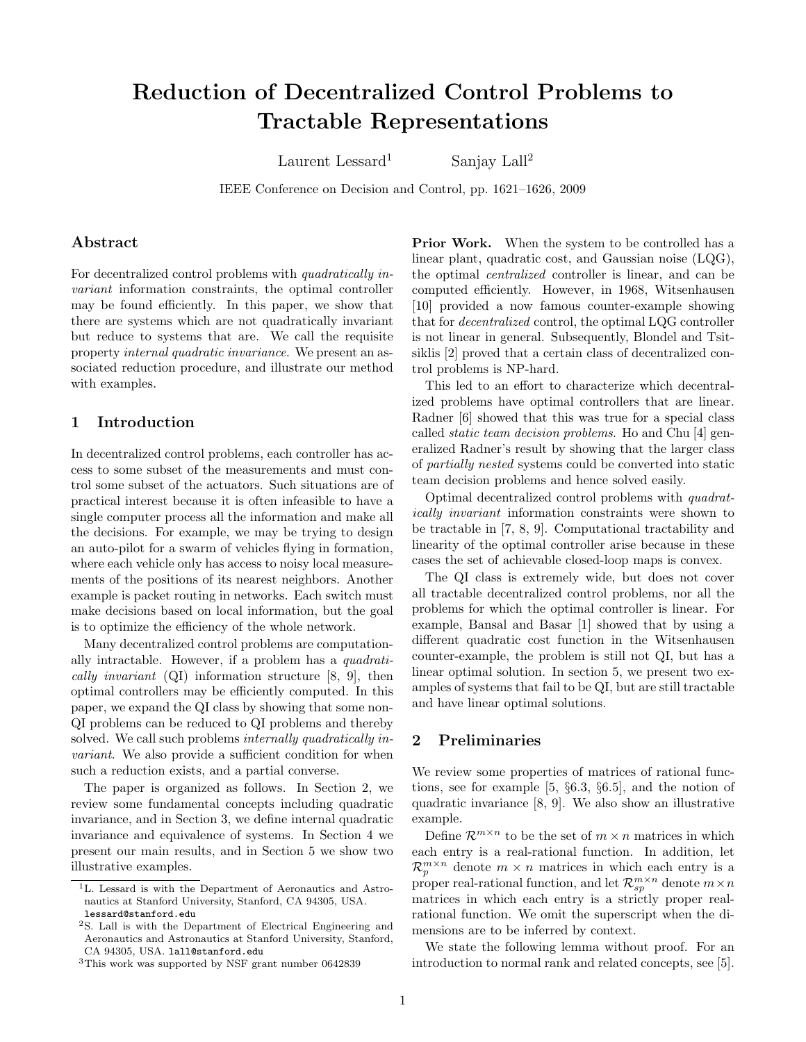# Reduction of Decentralized Control Problems to Tractable Representations

Laurent Lessard<sup>1</sup> Sanjay Lall<sup>2</sup>

IEEE Conference on Decision and Control, pp. 1621–1626, 2009

## Abstract

For decentralized control problems with quadratically invariant information constraints, the optimal controller may be found efficiently. In this paper, we show that there are systems which are not quadratically invariant but reduce to systems that are. We call the requisite property internal quadratic invariance. We present an associated reduction procedure, and illustrate our method with examples.

# 1 Introduction

In decentralized control problems, each controller has access to some subset of the measurements and must control some subset of the actuators. Such situations are of practical interest because it is often infeasible to have a single computer process all the information and make all the decisions. For example, we may be trying to design an auto-pilot for a swarm of vehicles flying in formation, where each vehicle only has access to noisy local measurements of the positions of its nearest neighbors. Another example is packet routing in networks. Each switch must make decisions based on local information, but the goal is to optimize the efficiency of the whole network.

Many decentralized control problems are computationally intractable. However, if a problem has a quadratically invariant (QI) information structure [\[8,](#page-5-0) [9\]](#page-5-1), then optimal controllers may be efficiently computed. In this paper, we expand the QI class by showing that some non-QI problems can be reduced to QI problems and thereby solved. We call such problems *internally quadratically in*variant. We also provide a sufficient condition for when such a reduction exists, and a partial converse.

The paper is organized as follows. In Section [2,](#page-0-0) we review some fundamental concepts including quadratic invariance, and in Section [3,](#page-1-0) we define internal quadratic invariance and equivalence of systems. In Section [4](#page-2-0) we present our main results, and in Section [5](#page-4-0) we show two illustrative examples.

**Prior Work.** When the system to be controlled has a linear plant, quadratic cost, and Gaussian noise (LQG), the optimal centralized controller is linear, and can be computed efficiently. However, in 1968, Witsenhausen [\[10\]](#page-5-2) provided a now famous counter-example showing that for decentralized control, the optimal LQG controller is not linear in general. Subsequently, Blondel and Tsitsiklis [\[2\]](#page-5-3) proved that a certain class of decentralized control problems is NP-hard.

This led to an effort to characterize which decentralized problems have optimal controllers that are linear. Radner [\[6\]](#page-5-4) showed that this was true for a special class called static team decision problems. Ho and Chu [\[4\]](#page-5-5) generalized Radner's result by showing that the larger class of partially nested systems could be converted into static team decision problems and hence solved easily.

Optimal decentralized control problems with quadratically invariant information constraints were shown to be tractable in [\[7,](#page-5-6) [8,](#page-5-0) [9\]](#page-5-1). Computational tractability and linearity of the optimal controller arise because in these cases the set of achievable closed-loop maps is convex.

The QI class is extremely wide, but does not cover all tractable decentralized control problems, nor all the problems for which the optimal controller is linear. For example, Bansal and Basar [\[1\]](#page-5-7) showed that by using a different quadratic cost function in the Witsenhausen counter-example, the problem is still not QI, but has a linear optimal solution. In section [5,](#page-4-0) we present two examples of systems that fail to be QI, but are still tractable and have linear optimal solutions.

## <span id="page-0-0"></span>2 Preliminaries

We review some properties of matrices of rational functions, see for example [\[5,](#page-5-8) §6.3, §6.5], and the notion of quadratic invariance [\[8,](#page-5-0) [9\]](#page-5-1). We also show an illustrative example.

Define  $\mathcal{R}^{m \times n}$  to be the set of  $m \times n$  matrices in which each entry is a real-rational function. In addition, let  $\mathcal{R}_p^{m \times n}$  denote  $m \times n$  matrices in which each entry is a proper real-rational function, and let  $\mathcal{R}_{sp}^{m\times n}$  denote  $m\times n$ matrices in which each entry is a strictly proper realrational function. We omit the superscript when the dimensions are to be inferred by context.

We state the following lemma without proof. For an introduction to normal rank and related concepts, see [\[5\]](#page-5-8).

<sup>1</sup>L. Lessard is with the Department of Aeronautics and Astronautics at Stanford University, Stanford, CA 94305, USA. lessard@stanford.edu

<sup>2</sup>S. Lall is with the Department of Electrical Engineering and Aeronautics and Astronautics at Stanford University, Stanford, CA 94305, USA. lall@stanford.edu

<sup>3</sup>This work was supported by NSF grant number 0642839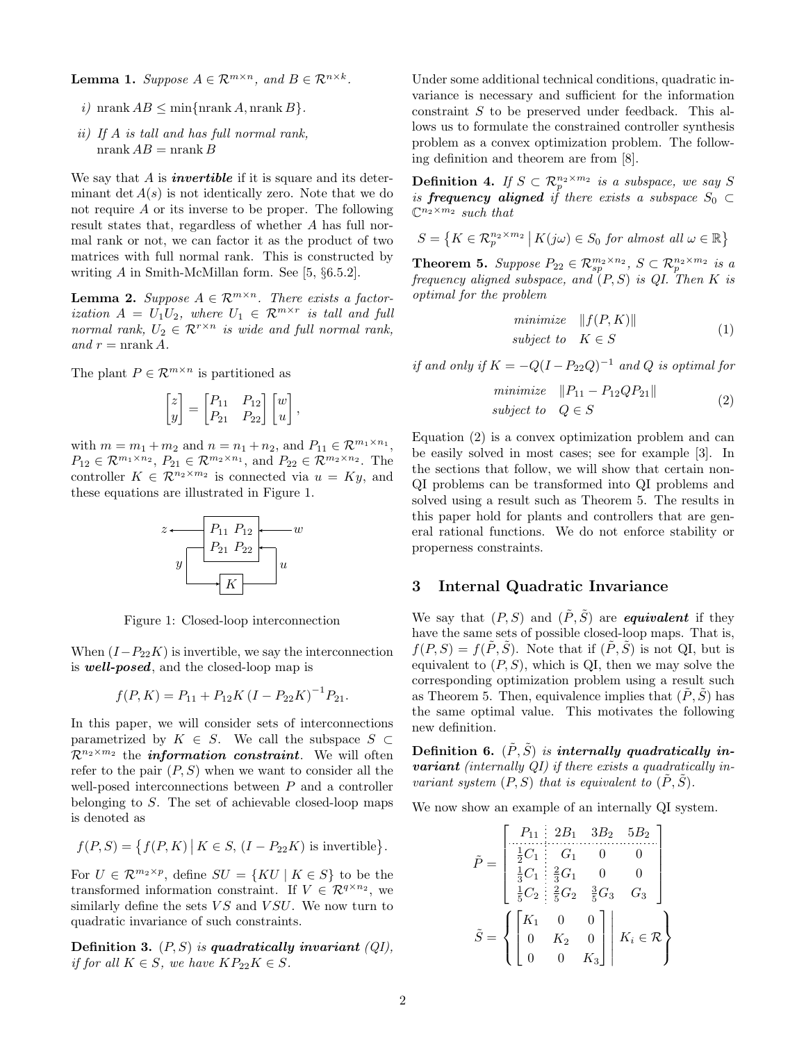<span id="page-1-5"></span>**Lemma 1.** Suppose  $A \in \mathcal{R}^{m \times n}$ , and  $B \in \mathcal{R}^{n \times k}$ .

- i) nrank  $AB \leq \min\{\text{nrank }A, \text{nrank }B\}.$
- ii) If A is tall and has full normal rank, nrank  $AB =$ nrank  $B$

We say that  $A$  is *invertible* if it is square and its determinant det  $A(s)$  is not identically zero. Note that we do not require A or its inverse to be proper. The following result states that, regardless of whether A has full normal rank or not, we can factor it as the product of two matrices with full normal rank. This is constructed by writing A in Smith-McMillan form. See [\[5,](#page-5-8) §6.5.2].

<span id="page-1-4"></span>**Lemma 2.** Suppose  $A \in \mathbb{R}^{m \times n}$ . There exists a factor*ization*  $A = U_1 U_2$ , where  $U_1 \in \mathcal{R}^{m \times r}$  *is tall and full* normal rank,  $U_2 \in \mathcal{R}^{r \times n}$  is wide and full normal rank, and  $r = \text{nrank } A$ .

The plant  $P \in \mathcal{R}^{m \times n}$  is partitioned as

$$
\begin{bmatrix} z \\ y \end{bmatrix} = \begin{bmatrix} P_{11} & P_{12} \\ P_{21} & P_{22} \end{bmatrix} \begin{bmatrix} w \\ u \end{bmatrix},
$$

with  $m = m_1 + m_2$  and  $n = n_1 + n_2$ , and  $P_{11} \in \mathcal{R}^{m_1 \times n_1}$ ,  $P_{12} \in \mathcal{R}^{m_1 \times n_2}$ ,  $P_{21} \in \mathcal{R}^{m_2 \times n_1}$ , and  $P_{22} \in \mathcal{R}^{m_2 \times n_2}$ . The controller  $K \in \mathcal{R}^{n_2 \times m_2}$  is connected via  $u = Ky$ , and these equations are illustrated in Figure [1.](#page-1-1)



<span id="page-1-1"></span>Figure 1: Closed-loop interconnection

When  $(I-P_{22}K)$  is invertible, we say the interconnection is well-posed, and the closed-loop map is

$$
f(P, K) = P_{11} + P_{12}K(I - P_{22}K)^{-1}P_{21}.
$$

In this paper, we will consider sets of interconnections parametrized by  $K \in S$ . We call the subspace  $S \subset$  $\mathcal{R}^{n_2 \times m_2}$  the *information constraint*. We will often refer to the pair  $(P, S)$  when we want to consider all the well-posed interconnections between P and a controller belonging to  $S$ . The set of achievable closed-loop maps is denoted as

$$
f(P, S) = \{ f(P, K) | K \in S, (I - P_{22}K) \text{ is invertible} \}.
$$

For  $U \in \mathcal{R}^{m_2 \times p}$ , define  $SU = \{KU \mid K \in S\}$  to be the transformed information constraint. If  $V \in \mathcal{R}^{q \times n_2}$ , we similarly define the sets  $VS$  and  $VSU$ . We now turn to quadratic invariance of such constraints.

Definition 3.  $(P, S)$  is quadratically invariant  $(QI)$ , if for all  $K \in S$ , we have  $KP_{22}K \in S$ .

Under some additional technical conditions, quadratic invariance is necessary and sufficient for the information constraint S to be preserved under feedback. This allows us to formulate the constrained controller synthesis problem as a convex optimization problem. The following definition and theorem are from [\[8\]](#page-5-0).

**Definition 4.** If  $S \subset \mathcal{R}_p^{n_2 \times m_2}$  is a subspace, we say S is **frequency aligned** if there exists a subspace  $S_0 \subset$  $\mathbb{C}^{n_2 \times m_2}$  such that

$$
S = \left\{ K \in \mathcal{R}_p^{n_2 \times m_2} \mid K(j\omega) \in S_0 \text{ for almost all } \omega \in \mathbb{R} \right\}
$$

<span id="page-1-3"></span>**Theorem 5.** Suppose  $P_{22} \in \mathcal{R}_{sp}^{m_2 \times n_2}$ ,  $S \subset \mathcal{R}_{p}^{n_2 \times m_2}$  is a frequency aligned subspace, and  $(P, S)$  is QI. Then K is optimal for the problem

$$
\begin{array}{ll}\n\text{minimize} & \|f(P, K)\| \\
\text{subject to} & K \in S\n\end{array} \tag{1}
$$

if and only if  $K = -Q(I - P_{22}Q)^{-1}$  and Q is optimal for

<span id="page-1-2"></span>
$$
\begin{array}{ll}\n\text{minimize} & \|P_{11} - P_{12} Q P_{21} \| \\
\text{subject to} & Q \in S\n\end{array} \tag{2}
$$

Equation [\(2\)](#page-1-2) is a convex optimization problem and can be easily solved in most cases; see for example [\[3\]](#page-5-9). In the sections that follow, we will show that certain non-QI problems can be transformed into QI problems and solved using a result such as Theorem [5.](#page-1-3) The results in this paper hold for plants and controllers that are general rational functions. We do not enforce stability or properness constraints.

## <span id="page-1-0"></span>3 Internal Quadratic Invariance

We say that  $(P, S)$  and  $(\tilde{P}, \tilde{S})$  are **equivalent** if they have the same sets of possible closed-loop maps. That is,  $f(P, S) = f(P, S)$ . Note that if  $(P, S)$  is not QI, but is equivalent to  $(P, S)$ , which is QI, then we may solve the corresponding optimization problem using a result such as Theorem [5.](#page-1-3) Then, equivalence implies that  $(P, S)$  has the same optimal value. This motivates the following new definition.

Definition 6.  $(\tilde{P}, \tilde{S})$  is internally quadratically in**variant** (internally QI) if there exists a quadratically invariant system  $(P, S)$  that is equivalent to  $(\tilde{P}, \tilde{S})$ .

We now show an example of an internally QI system.

$$
\tilde{P} = \begin{bmatrix}\nP_{11} & 2B_1 & 3B_2 & 5B_2 \\
\frac{1}{2}C_1 & G_1 & 0 & 0 \\
\frac{1}{3}C_1 & \frac{2}{3}G_1 & 0 & 0 \\
\frac{1}{5}C_2 & \frac{2}{5}G_2 & \frac{3}{5}G_3 & G_3\n\end{bmatrix}
$$
\n
$$
\tilde{S} = \left\{ \begin{bmatrix}\nK_1 & 0 & 0 \\
0 & K_2 & 0 \\
0 & 0 & K_3\n\end{bmatrix} \middle| K_i \in \mathcal{R} \right\}
$$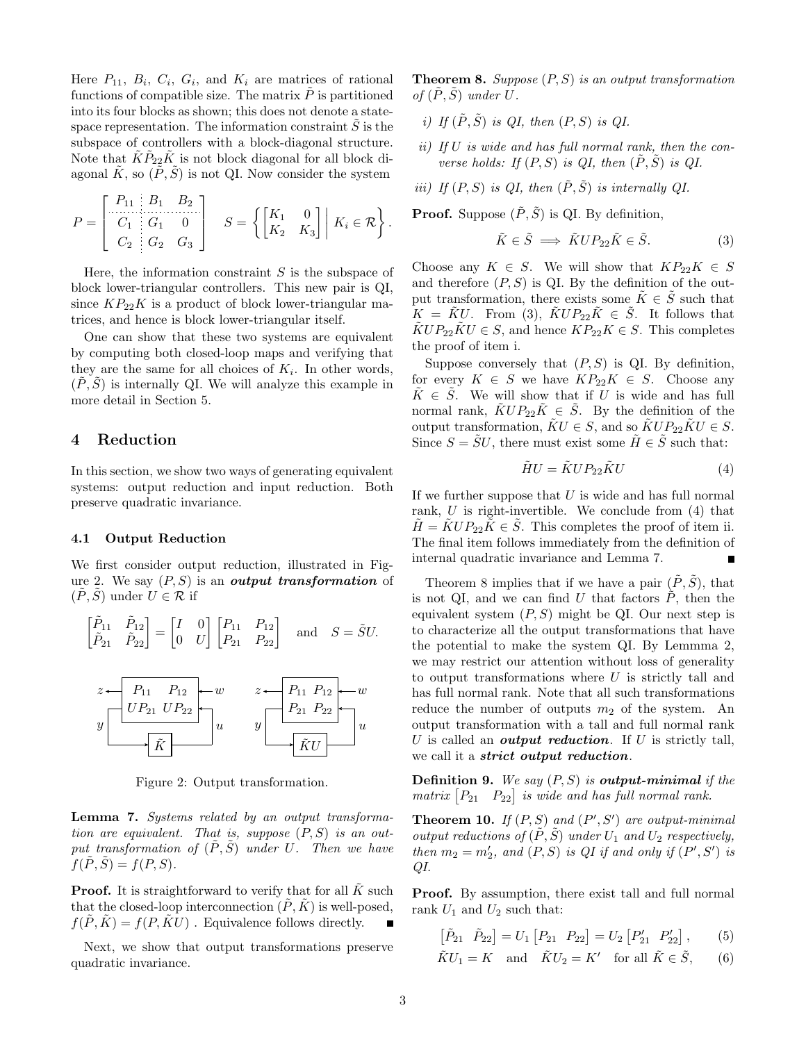Here  $P_{11}$ ,  $B_i$ ,  $C_i$ ,  $G_i$ , and  $K_i$  are matrices of rational functions of compatible size. The matrix  $\tilde{P}$  is partitioned into its four blocks as shown; this does not denote a statespace representation. The information constraint  $S$  is the subspace of controllers with a block-diagonal structure. Note that  $\tilde{K}\tilde{P}_{22}\tilde{K}$  is not block diagonal for all block diagonal  $\tilde{K}$ , so  $(\tilde{P}, \tilde{S})$  is not QI. Now consider the system

$$
P = \begin{bmatrix} P_{11} & B_1 & B_2 \\ C_1 & G_1 & 0 \\ C_2 & G_2 & G_3 \end{bmatrix} \quad S = \left\{ \begin{bmatrix} K_1 & 0 \\ K_2 & K_3 \end{bmatrix} \middle| K_i \in \mathcal{R} \right\}.
$$

Here, the information constraint  $S$  is the subspace of block lower-triangular controllers. This new pair is QI, since  $KP_{22}K$  is a product of block lower-triangular matrices, and hence is block lower-triangular itself.

One can show that these two systems are equivalent by computing both closed-loop maps and verifying that they are the same for all choices of  $K_i$ . In other words,  $(P, S)$  is internally QI. We will analyze this example in more detail in Section [5.](#page-4-0)

# <span id="page-2-0"></span>4 Reduction

In this section, we show two ways of generating equivalent systems: output reduction and input reduction. Both preserve quadratic invariance.

#### <span id="page-2-10"></span>4.1 Output Reduction

We first consider output reduction, illustrated in Fig-ure [2.](#page-2-1) We say  $(P, S)$  is an output transformation of  $(P, S)$  under  $U \in \mathcal{R}$  if

$$
\begin{bmatrix} \tilde{P}_{11} & \tilde{P}_{12} \\ \tilde{P}_{21} & \tilde{P}_{22} \end{bmatrix} = \begin{bmatrix} I & 0 \\ 0 & U \end{bmatrix} \begin{bmatrix} P_{11} & P_{12} \\ P_{21} & P_{22} \end{bmatrix} \quad \text{and} \quad S = \tilde{S}U.
$$



<span id="page-2-1"></span>Figure 2: Output transformation.

<span id="page-2-6"></span>Lemma 7. Systems related by an output transformation are equivalent. That is, suppose  $(P, S)$  is an output transformation of  $(\tilde{P}, \tilde{S})$  under U. Then we have  $f(P, S) = f(P, S).$ 

**Proof.** It is straightforward to verify that for all  $\tilde{K}$  such that the closed-loop interconnection  $(P, K)$  is well-posed.  $f(\tilde{P}, \tilde{K}) = f(P, \tilde{K}U)$ . Equivalence follows directly.

Next, we show that output transformations preserve quadratic invariance.

<span id="page-2-7"></span>**Theorem 8.** Suppose  $(P, S)$  is an output transformation of  $(\tilde{P}, \tilde{S})$  under U.

- <span id="page-2-3"></span>i) If  $(\tilde{P}, \tilde{S})$  is QI, then  $(P, S)$  is QI.
- <span id="page-2-5"></span>ii) If  $U$  is wide and has full normal rank, then the converse holds: If  $(P, S)$  is QI, then  $(P, S)$  is QI.
- iii) If  $(P, S)$  is QI, then  $(\tilde{P}, \tilde{S})$  is internally QI.

**Proof.** Suppose  $(\tilde{P}, \tilde{S})$  is QI. By definition,

<span id="page-2-2"></span>
$$
\tilde{K} \in \tilde{S} \implies \tilde{K} U P_{22} \tilde{K} \in \tilde{S}.
$$
 (3)

Choose any  $K \in S$ . We will show that  $KP_{22}K \in S$ and therefore  $(P, S)$  is QI. By the definition of the output transformation, there exists some  $K \in S$  such that  $K = \tilde{K}U$ . From [\(3\)](#page-2-2),  $\tilde{K}UP_{22}\tilde{K} \in \tilde{S}$ . It follows that  $\tilde{K}UP_{22}\tilde{K}U\in S$ , and hence  $KP_{22}K\in S$ . This completes the proof of item [i.](#page-2-3)

Suppose conversely that  $(P, S)$  is QI. By definition, for every  $K \in S$  we have  $KP_{22}K \in S$ . Choose any  $\tilde{K} \in \tilde{S}$ . We will show that if U is wide and has full normal rank,  $\tilde{K}UP_{22}\tilde{K} \in \tilde{S}$ . By the definition of the output transformation,  $\tilde{K}U \in S$ , and so  $\tilde{K}UP_{22}\tilde{K}U \in S$ . Since  $S = \tilde{S}U$ , there must exist some  $\tilde{H} \in \tilde{S}$  such that:

<span id="page-2-4"></span>
$$
\tilde{H}U = \tilde{K}UP_{22}\tilde{K}U\tag{4}
$$

If we further suppose that  $U$  is wide and has full normal rank,  $U$  is right-invertible. We conclude from  $(4)$  that  $\tilde{H} = \tilde{K} U P_{22} \tilde{K} \in \tilde{S}$ . This completes the proof of item [ii.](#page-2-5) The final item follows immediately from the definition of internal quadratic invariance and Lemma [7.](#page-2-6)  $\blacksquare$ 

Theorem [8](#page-2-7) implies that if we have a pair  $(\tilde{P}, \tilde{S})$ , that is not QI, and we can find U that factors  $\tilde{P}$ , then the equivalent system  $(P, S)$  might be QI. Our next step is to characterize all the output transformations that have the potential to make the system QI. By Lemmma [2,](#page-1-4) we may restrict our attention without loss of generality to output transformations where  $U$  is strictly tall and has full normal rank. Note that all such transformations reduce the number of outputs  $m_2$  of the system. An output transformation with a tall and full normal rank U is called an *output reduction*. If U is strictly tall, we call it a *strict output reduction*.

**Definition 9.** We say  $(P, S)$  is **output-minimal** if the matrix  $[P_{21} \quad P_{22}]$  is wide and has full normal rank.

<span id="page-2-9"></span>**Theorem 10.** If  $(P, S)$  and  $(P', S')$  are output-minimal output reductions of  $(P, S)$  under  $U_1$  and  $U_2$  respectively, then  $m_2 = m'_2$ , and  $(P, S)$  is QI if and only if  $(P', S')$  is QI.

Proof. By assumption, there exist tall and full normal rank  $U_1$  and  $U_2$  such that:

<span id="page-2-8"></span>
$$
\left[\tilde{P}_{21} \quad \tilde{P}_{22}\right] = U_1 \left[P_{21} \quad P_{22}\right] = U_2 \left[P'_{21} \quad P'_{22}\right],\tag{5}
$$

$$
\tilde{K}U_1 = K \quad \text{and} \quad \tilde{K}U_2 = K' \quad \text{for all } \tilde{K} \in \tilde{S}, \qquad (6)
$$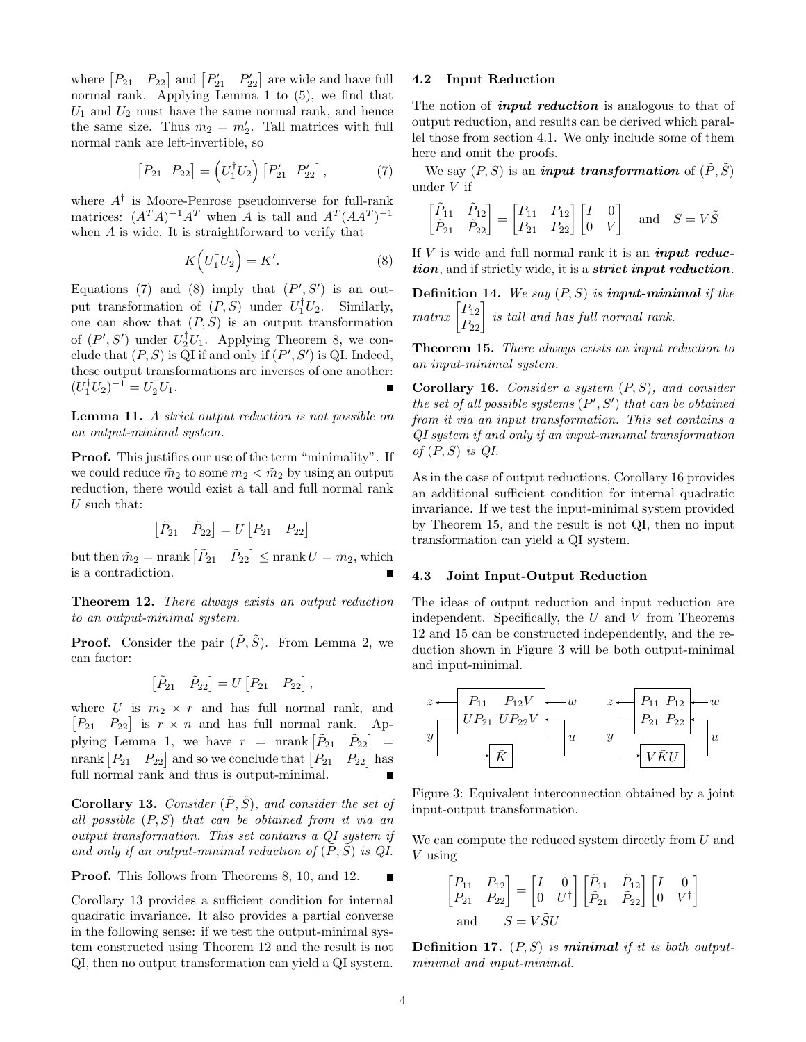where  $\begin{bmatrix} P_{21} & P_{22} \end{bmatrix}$  and  $\begin{bmatrix} P'_{21} & P'_{22} \end{bmatrix}$  are wide and have full normal rank. Applying Lemma [1](#page-1-5) to [\(5\)](#page-2-8), we find that  $U_1$  and  $U_2$  must have the same normal rank, and hence the same size. Thus  $m_2 = m'_2$ . Tall matrices with full normal rank are left-invertible, so

$$
\begin{bmatrix} P_{21} & P_{22} \end{bmatrix} = \left( U_1^\dagger U_2 \right) \begin{bmatrix} P'_{21} & P'_{22} \end{bmatrix},\tag{7}
$$

where A† is Moore-Penrose pseudoinverse for full-rank matrices:  $(A^T A)^{-1} A^T$  when A is tall and  $A^T (A A^T)^{-1}$ when A is wide. It is straightforward to verify that

<span id="page-3-1"></span>
$$
K\left(U_1^\dagger U_2\right) = K'.\tag{8}
$$

Equations [\(7\)](#page-3-0) and [\(8\)](#page-3-1) imply that  $(P', S')$  is an output transformation of  $(P, S)$  under  $U_1^{\dagger} U_2$ . Similarly, one can show that  $(P, S)$  is an output transformation of  $(P', S')$  under  $U_2^{\dagger} U_1$ . Applying Theorem [8,](#page-2-7) we conclude that  $(P, S)$  is QI if and only if  $(P', S')$  is QI. Indeed, these output transformations are inverses of one another:  $(U_1^{\dagger}U_2)^{-1} = U_2^{\dagger}U_1.$ 

Lemma 11. A strict output reduction is not possible on an output-minimal system.

Proof. This justifies our use of the term "minimality". If we could reduce  $\tilde{m}_2$  to some  $m_2 < \tilde{m}_2$  by using an output reduction, there would exist a tall and full normal rank  $U$  such that:

$$
\begin{bmatrix} \tilde{P}_{21} & \tilde{P}_{22} \end{bmatrix} = U \begin{bmatrix} P_{21} & P_{22} \end{bmatrix}
$$

but then  $\tilde{m}_2 = \text{nrank} \begin{bmatrix} \tilde{P}_{21} & \tilde{P}_{22} \end{bmatrix} \leq \text{nrank} U = m_2$ , which is a contradiction.

<span id="page-3-2"></span>Theorem 12. There always exists an output reduction to an output-minimal system.

**Proof.** Consider the pair  $(\tilde{P}, \tilde{S})$ . From Lemma [2,](#page-1-4) we can factor:

$$
\begin{bmatrix} \tilde{P}_{21} & \tilde{P}_{22} \end{bmatrix} = U \begin{bmatrix} P_{21} & P_{22} \end{bmatrix},
$$

where U is  $m_2 \times r$  and has full normal rank, and  $[P_{21} \quad P_{22}]$  is  $r \times n$  and has full normal rank. Ap-plying Lemma [1,](#page-1-5) we have  $r = \text{nrank} \begin{bmatrix} \tilde{P}_{21} & \tilde{P}_{22} \end{bmatrix}$  = nrank  $[P_{21} \quad P_{22}]$  and so we conclude that  $[P_{21} \quad P_{22}]$  has full normal rank and thus is output-minimal. Ē

<span id="page-3-3"></span>**Corollary 13.** Consider  $(\tilde{P}, \tilde{S})$ , and consider the set of all possible  $(P, S)$  that can be obtained from it via an output transformation. This set contains a QI system if and only if an output-minimal reduction of  $(\tilde{P}, \tilde{S})$  is QI.

Proof. This follows from Theorems [8,](#page-2-7) [10,](#page-2-9) and [12.](#page-3-2)

Corollary [13](#page-3-3) provides a sufficient condition for internal quadratic invariance. It also provides a partial converse in the following sense: if we test the output-minimal system constructed using Theorem [12](#page-3-2) and the result is not QI, then no output transformation can yield a QI system.

## 4.2 Input Reduction

The notion of *input reduction* is analogous to that of output reduction, and results can be derived which parallel those from section [4.1.](#page-2-10) We only include some of them here and omit the proofs.

<span id="page-3-0"></span>We say  $(P, S)$  is an *input transformation* of  $(\tilde{P}, \tilde{S})$ under V if

$$
\begin{bmatrix} \tilde{P}_{11} & \tilde{P}_{12} \\ \tilde{P}_{21} & \tilde{P}_{22} \end{bmatrix} = \begin{bmatrix} P_{11} & P_{12} \\ P_{21} & P_{22} \end{bmatrix} \begin{bmatrix} I & 0 \\ 0 & V \end{bmatrix} \text{ and } S = V\tilde{S}
$$

If  $V$  is wide and full normal rank it is an *input reduc*tion, and if strictly wide, it is a *strict input reduction*.

**Definition 14.** We say  $(P, S)$  is **input-minimal** if the  $matrix \begin{bmatrix} P_{12} \ P_{22} \end{bmatrix}$  is tall and has full normal rank.

<span id="page-3-5"></span>Theorem 15. There always exists an input reduction to an input-minimal system.

<span id="page-3-4"></span>**Corollary 16.** Consider a system  $(P, S)$ , and consider the set of all possible systems  $(P', S')$  that can be obtained from it via an input transformation. This set contains a QI system if and only if an input-minimal transformation of  $(P, S)$  is  $QI$ .

As in the case of output reductions, Corollary [16](#page-3-4) provides an additional sufficient condition for internal quadratic invariance. If we test the input-minimal system provided by Theorem [15,](#page-3-5) and the result is not QI, then no input transformation can yield a QI system.

#### 4.3 Joint Input-Output Reduction

The ideas of output reduction and input reduction are independent. Specifically, the  $U$  and  $V$  from Theorems [12](#page-3-2) and [15](#page-3-5) can be constructed independently, and the reduction shown in Figure [3](#page-3-6) will be both output-minimal and input-minimal.



<span id="page-3-6"></span>Figure 3: Equivalent interconnection obtained by a joint input-output transformation.

We can compute the reduced system directly from  $U$  and V using

$$
\begin{bmatrix} P_{11} & P_{12} \\ P_{21} & P_{22} \end{bmatrix} = \begin{bmatrix} I & 0 \\ 0 & U^{\dagger} \end{bmatrix} \begin{bmatrix} \tilde{P}_{11} & \tilde{P}_{12} \\ \tilde{P}_{21} & \tilde{P}_{22} \end{bmatrix} \begin{bmatrix} I & 0 \\ 0 & V^{\dagger} \end{bmatrix}
$$
  
and 
$$
S = V \tilde{S} U
$$

**Definition 17.**  $(P, S)$  is **minimal** if it is both outputminimal and input-minimal.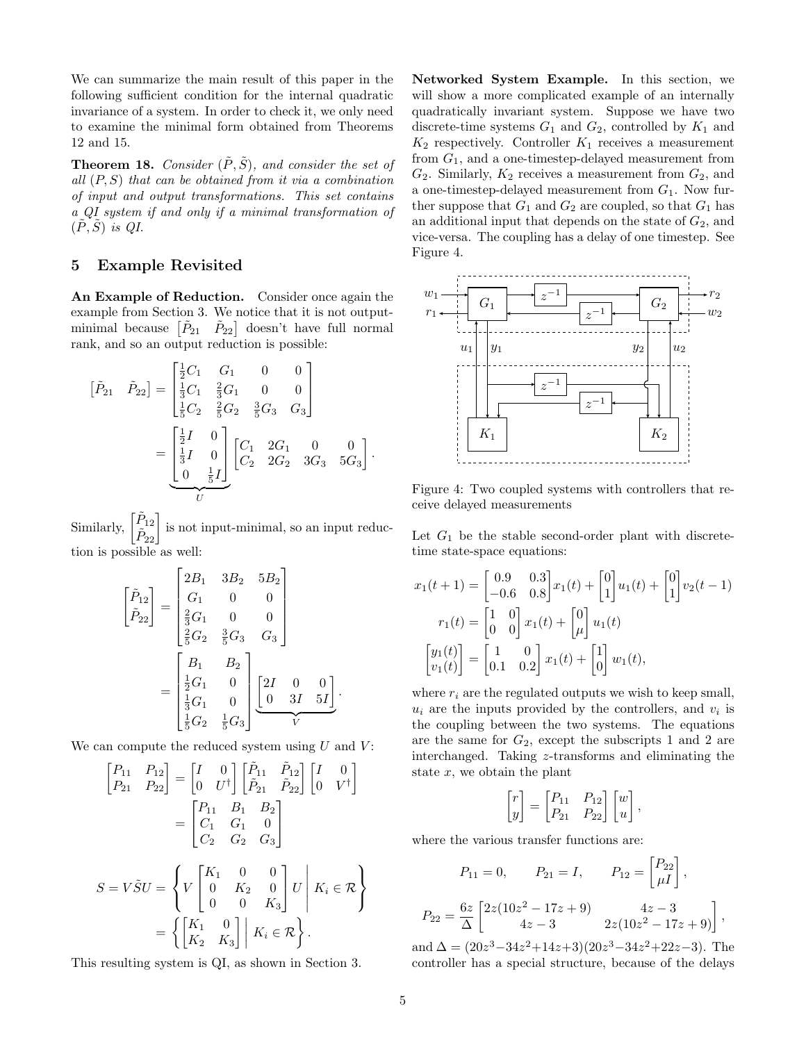We can summarize the main result of this paper in the following sufficient condition for the internal quadratic invariance of a system. In order to check it, we only need to examine the minimal form obtained from Theorems [12](#page-3-2) and [15.](#page-3-5)

**Theorem 18.** Consider  $(\tilde{P}, \tilde{S})$ , and consider the set of all  $(P, S)$  that can be obtained from it via a combination of input and output transformations. This set contains a QI system if and only if a minimal transformation of  $(P, S)$  is QI.

# <span id="page-4-0"></span>5 Example Revisited

An Example of Reduction. Consider once again the example from Section [3.](#page-1-0) We notice that it is not outputminimal because  $\begin{bmatrix} \tilde{P}_{21} & \tilde{P}_{22} \end{bmatrix}$  doesn't have full normal rank, and so an output reduction is possible:

$$
\begin{aligned}\n\left[\tilde{P}_{21} \quad \tilde{P}_{22}\right] &= \begin{bmatrix}\n\frac{1}{2}C_1 & G_1 & 0 & 0 \\
\frac{1}{3}C_1 & \frac{2}{3}G_1 & 0 & 0 \\
\frac{1}{5}C_2 & \frac{2}{5}G_2 & \frac{3}{5}G_3 & G_3\n\end{bmatrix} \\
&= \begin{bmatrix}\n\frac{1}{2}I & 0 \\
\frac{1}{3}I & 0 \\
0 & \frac{1}{5}I\n\end{bmatrix} \begin{bmatrix}\nC_1 & 2G_1 & 0 & 0 \\
C_2 & 2G_2 & 3G_3 & 5G_3\n\end{bmatrix}.\n\end{aligned}
$$

Similarly,  $\begin{bmatrix} \tilde{P}_{12} \\ \tilde{P}_{22} \end{bmatrix}$  is not input-minimal, so an input reduction is possible as well:

$$
\begin{bmatrix}\n\tilde{P}_{12} \\
\tilde{P}_{22}\n\end{bmatrix} = \begin{bmatrix}\n2B_1 & 3B_2 & 5B_2 \\
G_1 & 0 & 0 \\
\frac{2}{3}G_1 & 0 & 0 \\
\frac{2}{5}G_2 & \frac{3}{5}G_3 & G_3\n\end{bmatrix}
$$
\n
$$
= \begin{bmatrix}\nB_1 & B_2 \\
\frac{1}{2}G_1 & 0 \\
\frac{1}{3}G_1 & 0 \\
\frac{1}{5}G_2 & \frac{1}{5}G_3\n\end{bmatrix} \begin{bmatrix}\n2I & 0 & 0 \\
0 & 3I & 5I\n\end{bmatrix}
$$

.

We can compute the reduced system using  $U$  and  $V$ :

$$
\begin{bmatrix} P_{11} & P_{12} \\ P_{21} & P_{22} \end{bmatrix} = \begin{bmatrix} I & 0 \\ 0 & U^{\dagger} \end{bmatrix} \begin{bmatrix} \tilde{P}_{11} & \tilde{P}_{12} \\ \tilde{P}_{21} & \tilde{P}_{22} \end{bmatrix} \begin{bmatrix} I & 0 \\ 0 & V^{\dagger} \end{bmatrix} \n= \begin{bmatrix} P_{11} & B_1 & B_2 \\ C_1 & G_1 & 0 \\ C_2 & G_2 & G_3 \end{bmatrix} \nS = V\tilde{S}U = \begin{Bmatrix} V & X_1 & 0 & 0 \\ 0 & K_2 & 0 \\ 0 & 0 & K_3 \end{Bmatrix} U & K_i \in \mathcal{R} \end{Bmatrix} \n= \left\{ \begin{bmatrix} K_1 & 0 \\ K_2 & K_3 \end{bmatrix} \middle| K_i \in \mathcal{R} \right\}.
$$

This resulting system is QI, as shown in Section [3.](#page-1-0)

Networked System Example. In this section, we will show a more complicated example of an internally quadratically invariant system. Suppose we have two discrete-time systems  $G_1$  and  $G_2$ , controlled by  $K_1$  and  $K_2$  respectively. Controller  $K_1$  receives a measurement from  $G_1$ , and a one-timestep-delayed measurement from  $G_2$ . Similarly,  $K_2$  receives a measurement from  $G_2$ , and a one-timestep-delayed measurement from  $G_1$ . Now further suppose that  $G_1$  and  $G_2$  are coupled, so that  $G_1$  has an additional input that depends on the state of  $G_2$ , and vice-versa. The coupling has a delay of one timestep. See Figure [4.](#page-4-1)



<span id="page-4-1"></span>Figure 4: Two coupled systems with controllers that receive delayed measurements

Let  $G_1$  be the stable second-order plant with discretetime state-space equations:

$$
x_1(t+1) = \begin{bmatrix} 0.9 & 0.3 \\ -0.6 & 0.8 \end{bmatrix} x_1(t) + \begin{bmatrix} 0 \\ 1 \end{bmatrix} u_1(t) + \begin{bmatrix} 0 \\ 1 \end{bmatrix} v_2(t-1)
$$

$$
r_1(t) = \begin{bmatrix} 1 & 0 \\ 0 & 0 \end{bmatrix} x_1(t) + \begin{bmatrix} 0 \\ \mu \end{bmatrix} u_1(t)
$$

$$
\begin{bmatrix} y_1(t) \\ v_1(t) \end{bmatrix} = \begin{bmatrix} 1 & 0 \\ 0.1 & 0.2 \end{bmatrix} x_1(t) + \begin{bmatrix} 1 \\ 0 \end{bmatrix} w_1(t),
$$

where  $r_i$  are the regulated outputs we wish to keep small,  $u_i$  are the inputs provided by the controllers, and  $v_i$  is the coupling between the two systems. The equations are the same for  $G_2$ , except the subscripts 1 and 2 are interchanged. Taking z-transforms and eliminating the state  $x$ , we obtain the plant

$$
\begin{bmatrix} r \\ y \end{bmatrix} = \begin{bmatrix} P_{11} & P_{12} \\ P_{21} & P_{22} \end{bmatrix} \begin{bmatrix} w \\ u \end{bmatrix},
$$

where the various transfer functions are:

$$
P_{11} = 0, \t P_{21} = I, \t P_{12} = \begin{bmatrix} P_{22} \\ \mu I \end{bmatrix},
$$

$$
P_{22} = \frac{6z}{\Delta} \begin{bmatrix} 2z(10z^2 - 17z + 9) & 4z - 3 \\ 4z - 3 & 2z(10z^2 - 17z + 9) \end{bmatrix}
$$

,

and  $\Delta = (20z^3 - 34z^2 + 14z + 3)(20z^3 - 34z^2 + 22z - 3)$ . The controller has a special structure, because of the delays